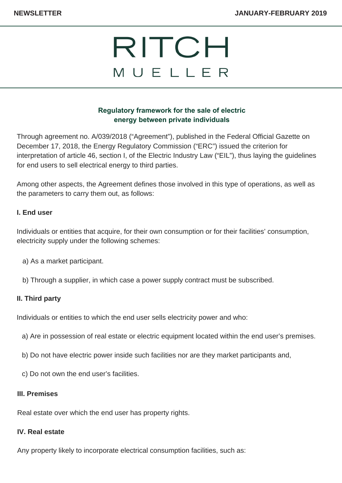# RITCH MUELLER

# **Regulatory framework for the sale of electric energy between private individuals**

Through agreement no. A/039/2018 ("Agreement"), published in the Federal Official Gazette on December 17, 2018, the Energy Regulatory Commission ("ERC") issued the criterion for interpretation of article 46, section I, of the Electric Industry Law ("EIL"), thus laying the guidelines for end users to sell electrical energy to third parties.

Among other aspects, the Agreement defines those involved in this type of operations, as well as the parameters to carry them out, as follows:

## **I. End user**

Individuals or entities that acquire, for their own consumption or for their facilities' consumption, electricity supply under the following schemes:

- a) As a market participant.
- b) Through a supplier, in which case a power supply contract must be subscribed.

### **II. Third party**

Individuals or entities to which the end user sells electricity power and who:

- a) Are in possession of real estate or electric equipment located within the end user's premises.
- b) Do not have electric power inside such facilities nor are they market participants and,
- c) Do not own the end user's facilities.

#### **III. Premises**

Real estate over which the end user has property rights.

#### **IV. Real estate**

Any property likely to incorporate electrical consumption facilities, such as: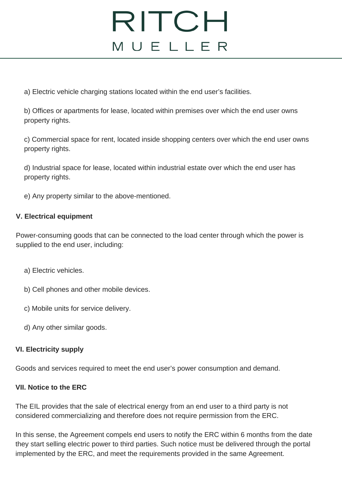# RITCH MUELLER

a) Electric vehicle charging stations located within the end user's facilities.

b) Offices or apartments for lease, located within premises over which the end user owns property rights.

c) Commercial space for rent, located inside shopping centers over which the end user owns property rights.

d) Industrial space for lease, located within industrial estate over which the end user has property rights.

e) Any property similar to the above-mentioned.

## **V. Electrical equipment**

Power-consuming goods that can be connected to the load center through which the power is supplied to the end user, including:

- a) Electric vehicles.
- b) Cell phones and other mobile devices.
- c) Mobile units for service delivery.
- d) Any other similar goods.

### **VI. Electricity supply**

Goods and services required to meet the end user's power consumption and demand.

#### **VII. Notice to the ERC**

The EIL provides that the sale of electrical energy from an end user to a third party is not considered commercializing and therefore does not require permission from the ERC.

In this sense, the Agreement compels end users to notify the ERC within 6 months from the date they start selling electric power to third parties. Such notice must be delivered through the portal implemented by the ERC, and meet the requirements provided in the same Agreement.